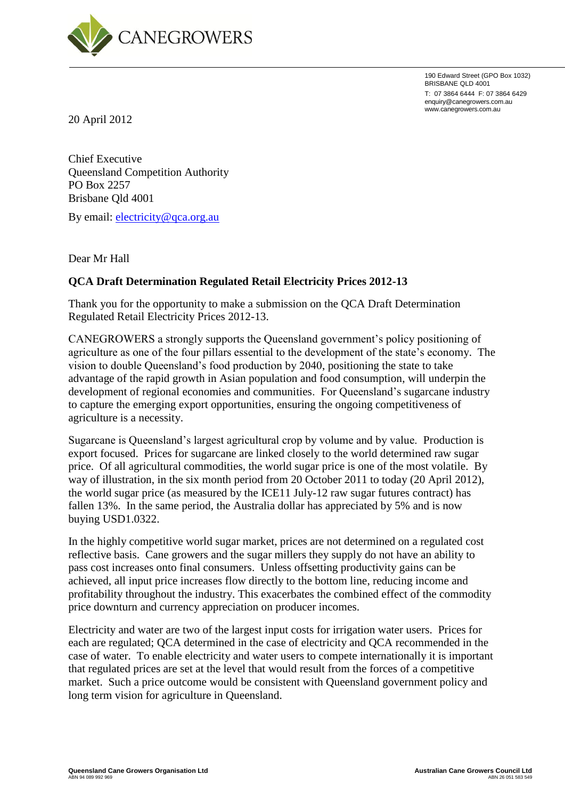

190 Edward Street (GPO Box 1032) BRISBANE QLD 4001 T: 07 3864 6444 F: 07 3864 6429 enquiry@canegrowers.com.au www.canegrowers.com.au

20 April 2012

Chief Executive Queensland Competition Authority PO Box 2257 Brisbane Qld 4001

By email: [electricity@qca.org.au](mailto:electricity@qca.org.au)

Dear Mr Hall

#### **QCA Draft Determination Regulated Retail Electricity Prices 2012-13**

Thank you for the opportunity to make a submission on the QCA Draft Determination Regulated Retail Electricity Prices 2012-13.

CANEGROWERS a strongly supports the Queensland government's policy positioning of agriculture as one of the four pillars essential to the development of the state's economy. The vision to double Queensland's food production by 2040, positioning the state to take advantage of the rapid growth in Asian population and food consumption, will underpin the development of regional economies and communities. For Queensland's sugarcane industry to capture the emerging export opportunities, ensuring the ongoing competitiveness of agriculture is a necessity.

Sugarcane is Queensland's largest agricultural crop by volume and by value. Production is export focused. Prices for sugarcane are linked closely to the world determined raw sugar price. Of all agricultural commodities, the world sugar price is one of the most volatile. By way of illustration, in the six month period from 20 October 2011 to today (20 April 2012), the world sugar price (as measured by the ICE11 July-12 raw sugar futures contract) has fallen 13%. In the same period, the Australia dollar has appreciated by 5% and is now buying USD1.0322.

In the highly competitive world sugar market, prices are not determined on a regulated cost reflective basis. Cane growers and the sugar millers they supply do not have an ability to pass cost increases onto final consumers. Unless offsetting productivity gains can be achieved, all input price increases flow directly to the bottom line, reducing income and profitability throughout the industry. This exacerbates the combined effect of the commodity price downturn and currency appreciation on producer incomes.

Electricity and water are two of the largest input costs for irrigation water users. Prices for each are regulated; QCA determined in the case of electricity and QCA recommended in the case of water. To enable electricity and water users to compete internationally it is important that regulated prices are set at the level that would result from the forces of a competitive market. Such a price outcome would be consistent with Queensland government policy and long term vision for agriculture in Queensland.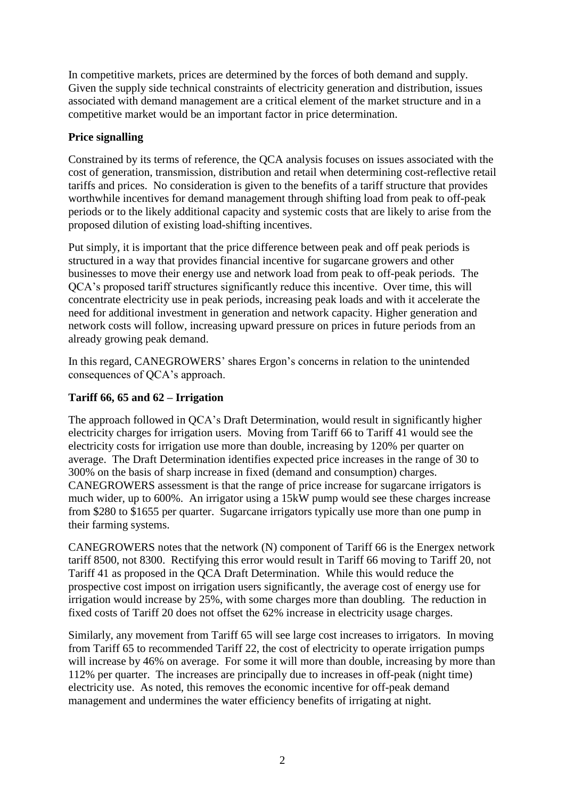In competitive markets, prices are determined by the forces of both demand and supply. Given the supply side technical constraints of electricity generation and distribution, issues associated with demand management are a critical element of the market structure and in a competitive market would be an important factor in price determination.

### **Price signalling**

Constrained by its terms of reference, the QCA analysis focuses on issues associated with the cost of generation, transmission, distribution and retail when determining cost-reflective retail tariffs and prices. No consideration is given to the benefits of a tariff structure that provides worthwhile incentives for demand management through shifting load from peak to off-peak periods or to the likely additional capacity and systemic costs that are likely to arise from the proposed dilution of existing load-shifting incentives.

Put simply, it is important that the price difference between peak and off peak periods is structured in a way that provides financial incentive for sugarcane growers and other businesses to move their energy use and network load from peak to off-peak periods. The QCA's proposed tariff structures significantly reduce this incentive. Over time, this will concentrate electricity use in peak periods, increasing peak loads and with it accelerate the need for additional investment in generation and network capacity. Higher generation and network costs will follow, increasing upward pressure on prices in future periods from an already growing peak demand.

In this regard, CANEGROWERS' shares Ergon's concerns in relation to the unintended consequences of QCA's approach.

### **Tariff 66, 65 and 62 – Irrigation**

The approach followed in QCA's Draft Determination, would result in significantly higher electricity charges for irrigation users. Moving from Tariff 66 to Tariff 41 would see the electricity costs for irrigation use more than double, increasing by 120% per quarter on average. The Draft Determination identifies expected price increases in the range of 30 to 300% on the basis of sharp increase in fixed (demand and consumption) charges. CANEGROWERS assessment is that the range of price increase for sugarcane irrigators is much wider, up to 600%. An irrigator using a 15kW pump would see these charges increase from \$280 to \$1655 per quarter. Sugarcane irrigators typically use more than one pump in their farming systems.

CANEGROWERS notes that the network (N) component of Tariff 66 is the Energex network tariff 8500, not 8300. Rectifying this error would result in Tariff 66 moving to Tariff 20, not Tariff 41 as proposed in the QCA Draft Determination. While this would reduce the prospective cost impost on irrigation users significantly, the average cost of energy use for irrigation would increase by 25%, with some charges more than doubling. The reduction in fixed costs of Tariff 20 does not offset the 62% increase in electricity usage charges.

Similarly, any movement from Tariff 65 will see large cost increases to irrigators. In moving from Tariff 65 to recommended Tariff 22, the cost of electricity to operate irrigation pumps will increase by 46% on average. For some it will more than double, increasing by more than 112% per quarter. The increases are principally due to increases in off-peak (night time) electricity use. As noted, this removes the economic incentive for off-peak demand management and undermines the water efficiency benefits of irrigating at night.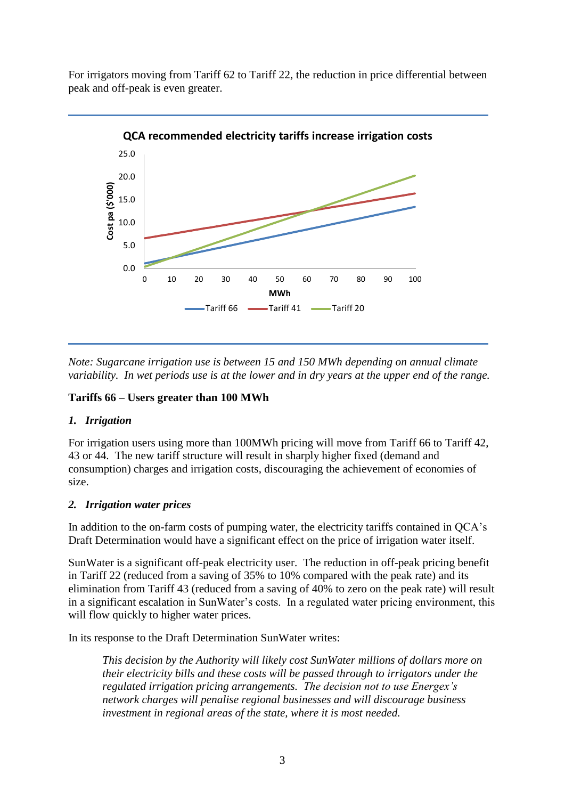For irrigators moving from Tariff 62 to Tariff 22, the reduction in price differential between peak and off-peak is even greater.



*Note: Sugarcane irrigation use is between 15 and 150 MWh depending on annual climate variability. In wet periods use is at the lower and in dry years at the upper end of the range.* 

# **Tariffs 66 – Users greater than 100 MWh**

# *1. Irrigation*

For irrigation users using more than 100MWh pricing will move from Tariff 66 to Tariff 42, 43 or 44. The new tariff structure will result in sharply higher fixed (demand and consumption) charges and irrigation costs, discouraging the achievement of economies of size.

# *2. Irrigation water prices*

In addition to the on-farm costs of pumping water, the electricity tariffs contained in QCA's Draft Determination would have a significant effect on the price of irrigation water itself.

SunWater is a significant off-peak electricity user. The reduction in off-peak pricing benefit in Tariff 22 (reduced from a saving of 35% to 10% compared with the peak rate) and its elimination from Tariff 43 (reduced from a saving of 40% to zero on the peak rate) will result in a significant escalation in SunWater's costs. In a regulated water pricing environment, this will flow quickly to higher water prices.

In its response to the Draft Determination SunWater writes:

*This decision by the Authority will likely cost SunWater millions of dollars more on their electricity bills and these costs will be passed through to irrigators under the regulated irrigation pricing arrangements. The decision not to use Energex's network charges will penalise regional businesses and will discourage business investment in regional areas of the state, where it is most needed.*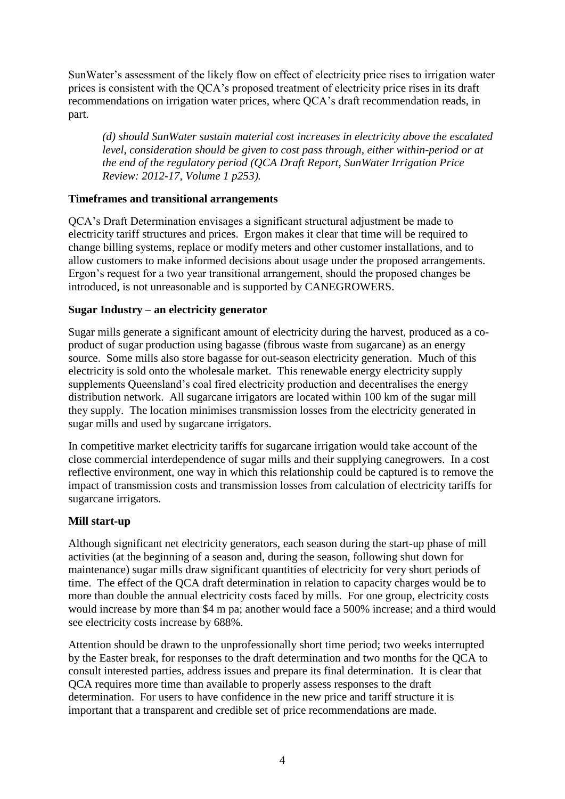SunWater's assessment of the likely flow on effect of electricity price rises to irrigation water prices is consistent with the QCA's proposed treatment of electricity price rises in its draft recommendations on irrigation water prices, where QCA's draft recommendation reads, in part.

*(d) should SunWater sustain material cost increases in electricity above the escalated level, consideration should be given to cost pass through, either within-period or at the end of the regulatory period (QCA Draft Report, SunWater Irrigation Price Review: 2012-17, Volume 1 p253).*

#### **Timeframes and transitional arrangements**

QCA's Draft Determination envisages a significant structural adjustment be made to electricity tariff structures and prices. Ergon makes it clear that time will be required to change billing systems, replace or modify meters and other customer installations, and to allow customers to make informed decisions about usage under the proposed arrangements. Ergon's request for a two year transitional arrangement, should the proposed changes be introduced, is not unreasonable and is supported by CANEGROWERS.

#### **Sugar Industry – an electricity generator**

Sugar mills generate a significant amount of electricity during the harvest, produced as a coproduct of sugar production using bagasse (fibrous waste from sugarcane) as an energy source. Some mills also store bagasse for out-season electricity generation. Much of this electricity is sold onto the wholesale market. This renewable energy electricity supply supplements Queensland's coal fired electricity production and decentralises the energy distribution network. All sugarcane irrigators are located within 100 km of the sugar mill they supply. The location minimises transmission losses from the electricity generated in sugar mills and used by sugarcane irrigators.

In competitive market electricity tariffs for sugarcane irrigation would take account of the close commercial interdependence of sugar mills and their supplying canegrowers. In a cost reflective environment, one way in which this relationship could be captured is to remove the impact of transmission costs and transmission losses from calculation of electricity tariffs for sugarcane irrigators.

#### **Mill start-up**

Although significant net electricity generators, each season during the start-up phase of mill activities (at the beginning of a season and, during the season, following shut down for maintenance) sugar mills draw significant quantities of electricity for very short periods of time. The effect of the QCA draft determination in relation to capacity charges would be to more than double the annual electricity costs faced by mills. For one group, electricity costs would increase by more than \$4 m pa; another would face a 500% increase; and a third would see electricity costs increase by 688%.

Attention should be drawn to the unprofessionally short time period; two weeks interrupted by the Easter break, for responses to the draft determination and two months for the QCA to consult interested parties, address issues and prepare its final determination. It is clear that QCA requires more time than available to properly assess responses to the draft determination. For users to have confidence in the new price and tariff structure it is important that a transparent and credible set of price recommendations are made.